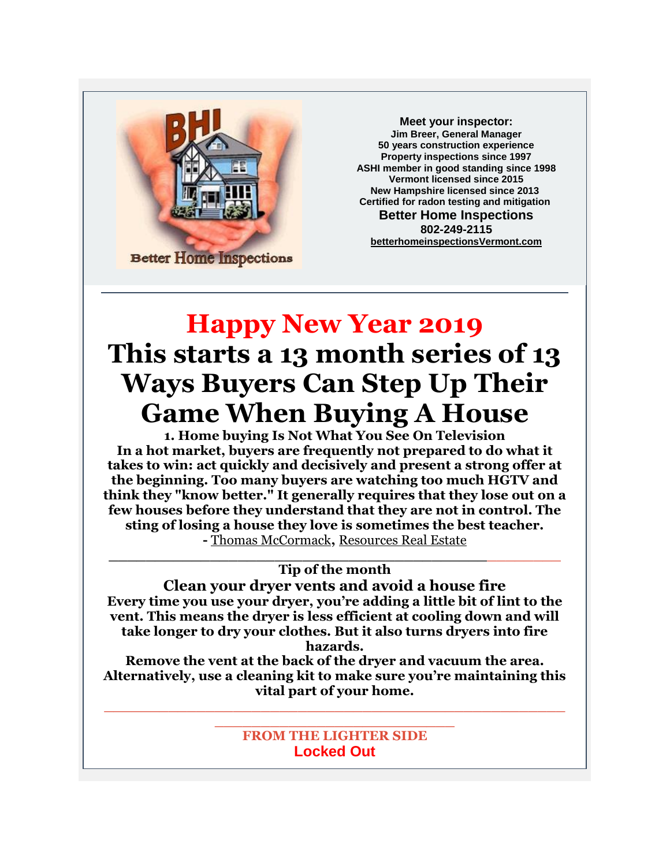

**Meet your inspector: Jim Breer, General Manager 50 years construction experience Property inspections since 1997 ASHI member in good standing since 1998 Vermont licensed since 2015 New Hampshire licensed since 2013 Certified for radon testing and mitigation Better Home Inspections 802-249-2115 [betterhomeinspectionsVermont.com](http://betterhomeinspectionsvermont.com/)**

## **Happy New Year 2019 This starts a 13 month series of 13 Ways Buyers Can Step Up Their Game When Buying A House**

**1. Home buying Is Not What You See On Television In a hot market, buyers are frequently not prepared to do what it takes to win: act quickly and decisively and present a strong offer at the beginning. Too many buyers are watching too much HGTV and think they "know better." It generally requires that they lose out on a few houses before they understand that they are not in control. The sting of losing a house they love is sometimes the best teacher. -** [Thomas McCormack](https://twitter.com/thomasmccormack)**,** [Resources](http://www.resourcesrealestate.com/) Real Estate

## **\_\_\_\_\_\_\_\_\_\_\_\_\_\_\_\_\_\_\_\_\_\_\_\_\_\_\_\_\_\_\_\_\_\_\_\_\_\_\_\_\_\_\_\_\_\_\_\_\_ Tip of the month**

**Clean your dryer vents and avoid a house fire Every time you use your dryer, you're adding a little bit of lint to the vent. This means the dryer is less efficient at cooling down and will take longer to dry your clothes. But it also turns dryers into fire hazards.**

**Remove the vent at the back of the dryer and vacuum the area. Alternatively, use a cleaning kit to make sure you're maintaining this vital part of your home.**

**\_\_\_\_\_\_\_\_\_\_\_\_\_\_\_\_\_\_\_\_\_\_\_\_\_\_\_\_\_\_\_\_\_\_\_\_\_\_\_\_\_\_\_\_\_\_\_\_\_\_**

## **\_\_\_\_\_\_\_\_\_\_\_\_\_\_\_\_\_\_\_\_\_\_\_\_\_\_ FROM THE LIGHTER SIDE Locked Out**